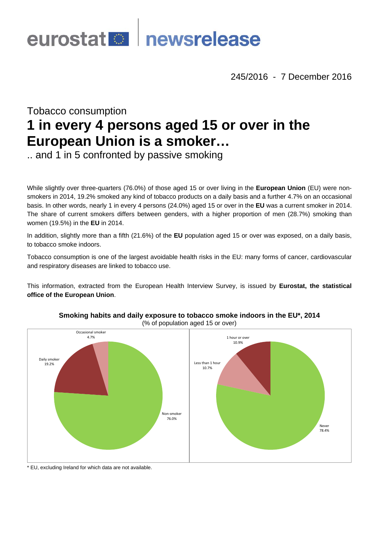# eurostat newsrelease

245/2016 - 7 December 2016

# Tobacco consumption **1 in every 4 persons aged 15 or over in the European Union is a smoker…**

.. and 1 in 5 confronted by passive smoking

While slightly over three-quarters (76.0%) of those aged 15 or over living in the **European Union** (EU) were nonsmokers in 2014, 19.2% smoked any kind of tobacco products on a daily basis and a further 4.7% on an occasional basis. In other words, nearly 1 in every 4 persons (24.0%) aged 15 or over in the **EU** was a current smoker in 2014. The share of current smokers differs between genders, with a higher proportion of men (28.7%) smoking than women (19.5%) in the **EU** in 2014.

In addition, slightly more than a fifth (21.6%) of the **EU** population aged 15 or over was exposed, on a daily basis, to tobacco smoke indoors.

Tobacco consumption is one of the largest avoidable health risks in the EU: many forms of cancer, cardiovascular and respiratory diseases are linked to tobacco use.

This information, extracted from the European Health Interview Survey, is issued by **Eurostat, the statistical office of the European Union**.



**Smoking habits and daily exposure to tobacco smoke indoors in the EU\*, 2014**  (% of population aged 15 or over)

\* EU, excluding Ireland for which data are not available.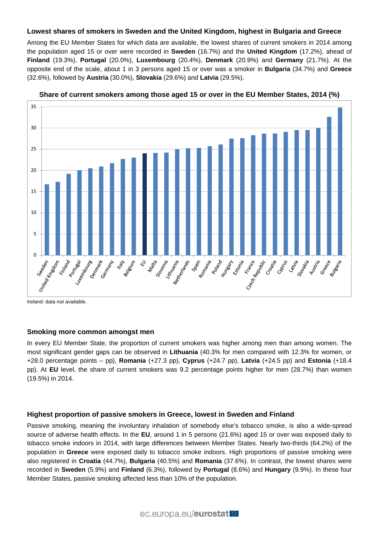## **Lowest shares of smokers in Sweden and the United Kingdom, highest in Bulgaria and Greece**

Among the EU Member States for which data are available, the lowest shares of current smokers in 2014 among the population aged 15 or over were recorded in **Sweden** (16.7%) and the **United Kingdom** (17.2%), ahead of **Finland** (19.3%), **Portugal** (20.0%), **Luxembourg** (20.4%), **Denmark** (20.9%) and **Germany** (21.7%). At the opposite end of the scale, about 1 in 3 persons aged 15 or over was a smoker in **Bulgaria** (34.7%) and **Greece** (32.6%), followed by **Austria** (30.0%), **Slovakia** (29.6%) and **Latvia** (29.5%).



**Share of current smokers among those aged 15 or over in the EU Member States, 2014 (%)** 

Ireland: data not available.

# **Smoking more common amongst men**

In every EU Member State, the proportion of current smokers was higher among men than among women. The most significant gender gaps can be observed in **Lithuania** (40.3% for men compared with 12.3% for women, or +28.0 percentage points – pp), **Romania** (+27.3 pp), **Cyprus** (+24.7 pp), **Latvia** (+24.5 pp) and **Estonia** (+18.4 pp). At **EU** level, the share of current smokers was 9.2 percentage points higher for men (28.7%) than women (19.5%) in 2014.

### **Highest proportion of passive smokers in Greece, lowest in Sweden and Finland**

Passive smoking, meaning the involuntary inhalation of somebody else's tobacco smoke, is also a wide-spread source of adverse health effects. In the **EU**, around 1 in 5 persons (21.6%) aged 15 or over was exposed daily to tobacco smoke indoors in 2014, with large differences between Member States. Nearly two-thirds (64.2%) of the population in **Greece** were exposed daily to tobacco smoke indoors. High proportions of passive smoking were also registered in **Croatia** (44.7%), **Bulgaria** (40.5%) and **Romania** (37.6%). In contrast, the lowest shares were recorded in **Sweden** (5.9%) and **Finland** (6.3%), followed by **Portugal** (8.6%) and **Hungary** (9.9%). In these four Member States, passive smoking affected less than 10% of the population.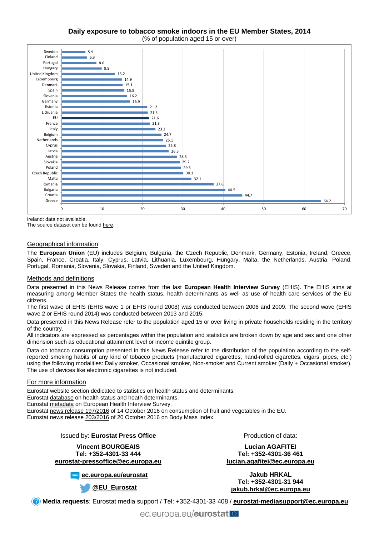**Daily exposure to tobacco smoke indoors in the EU Member States, 2014**  (% of population aged 15 or over)



Ireland: data not available.

The source dataset can be found [here.](http://appsso.eurostat.ec.europa.eu/nui/show.do?query=BOOKMARK_DS-742906_QID_2EFB9F26_UID_-3F171EB0&layout=DURATION,L,X,0;GEO,L,Y,0;UNIT,L,Z,0;TIME,C,Z,1;ISCED11,L,Z,2;SEX,L,Z,3;AGE,L,Z,4;INDICATORS,C,Z,5;&zSelection=DS-742906AGE,TOTAL;DS-742906ISCED11,TOTAL;DS-742906UNIT,PC;DS-742906TIME,2014;DS-742906INDICATORS,OBS_FLAG;DS-742906SEX,T;&rankName1=TIME_1_0_-1_2&rankName2=ISCED11_1_2_-1_2&rankName3=UNIT_1_2_-1_2&rankName4=AGE_1_2_-1_2&rankName5=INDICATORS_1_2_-1_2&rankName6=SEX_1_2_-1_2&rankName7=DURATION_1_2_0_0&rankName8=GEO_1_2_0_1&rStp=&cStp=&rDCh=&cDCh=&rDM=true&cDM=true&footnes=false&empty=false&wai=false&time_mode=ROLLING&time_most_recent=true&lang=EN&cfo=%23%23%23%2C%23%23%23.%23%23%23)

#### Geographical information

The **European Union** (EU) includes Belgium, Bulgaria, the Czech Republic, Denmark, Germany, Estonia, Ireland, Greece, Spain, France, Croatia, Italy, Cyprus, Latvia, Lithuania, Luxembourg, Hungary, Malta, the Netherlands, Austria, Poland, Portugal, Romania, Slovenia, Slovakia, Finland, Sweden and the United Kingdom.

#### Methods and definitions

Data presented in this News Release comes from the last **European Health Interview Survey** (EHIS). The EHIS aims at measuring among Member States the health status, health determinants as well as use of health care services of the EU citizens.

The first wave of EHIS (EHIS wave 1 or EHIS round 2008) was conducted between 2006 and 2009. The second wave (EHIS wave 2 or EHIS round 2014) was conducted between 2013 and 2015.

Data presented in this News Release refer to the population aged 15 or over living in private households residing in the territory of the country.

All indicators are expressed as percentages within the population and statistics are broken down by age and sex and one other dimension such as educational attainment level or income quintile group.

Data on tobacco consumption presented in this News Release refer to the distribution of the population according to the selfreported smoking habits of any kind of tobacco products (manufactured cigarettes, hand-rolled cigarettes, cigars, pipes, etc.) using the following modalities: Daily smoker, Occasional smoker, Non-smoker and Current smoker (Daily + Occasional smoker). The use of devices like electronic cigarettes is not included.

#### For more information

Eurostat [website section](http://ec.europa.eu/eurostat/web/health/health-status-determinants) dedicated to statistics on health status and determinants.

Eurostat [database](http://ec.europa.eu/eurostat/web/health/health-status-determinants/data/database) on health status and heath determinants.

Eurostat [metadata](http://ec.europa.eu/eurostat/cache/metadata/en/hlth_det_esms.htm) on European Health Interview Survey.

Eurostat [news release 197/2016](http://ec.europa.eu/eurostat/documents/2995521/7694616/3-14102016-BP-EN.pdf/1234ac94-27fd-4640-b9be-427a42d54881) of 14 October 2016 on consumption of fruit and vegetables in the EU.

Eurostat news release [203/2016](http://ec.europa.eu/eurostat/documents/2995521/7700898/3-20102016-BP-EN.pdf/c26b037b-d5f3-4c05-89c1-00bf0b98d646) of 20 October 2016 on Body Mass Index.

#### Issued by: **Eurostat Press Office**

**Vincent BOURGEAIS Tel: +352-4301-33 444 [eurostat-pressoffice@ec.europa.eu](mailto:eurostat-pressoffice@ec.europa.eu)** 

**[ec.europa.eu/eurostat](http://ec.europa.eu/eurostat)**

Production of data:

#### **Lucian AGAFITEI Tel: +352-4301-36 461 [lucian.agafitei@ec.europa.eu](mailto:lucian.agafitei@ec.europa.eu)**

**[@EU\\_Eurostat](https://twitter.com/EU_Eurostat)**

**Jakub HRKAL Tel: +352-4301-31 944 [jakub.hrkal@ec.europa.eu](mailto:jakub.hrkal@ec.europa.eu)** 

**Media requests**: Eurostat media support / Tel: +352-4301-33 408 / **[eurostat-mediasupport@ec.europa.eu](mailto:eurostat-mediasupport@ec.europa.eu)**

ec.europa.eu/eurostat